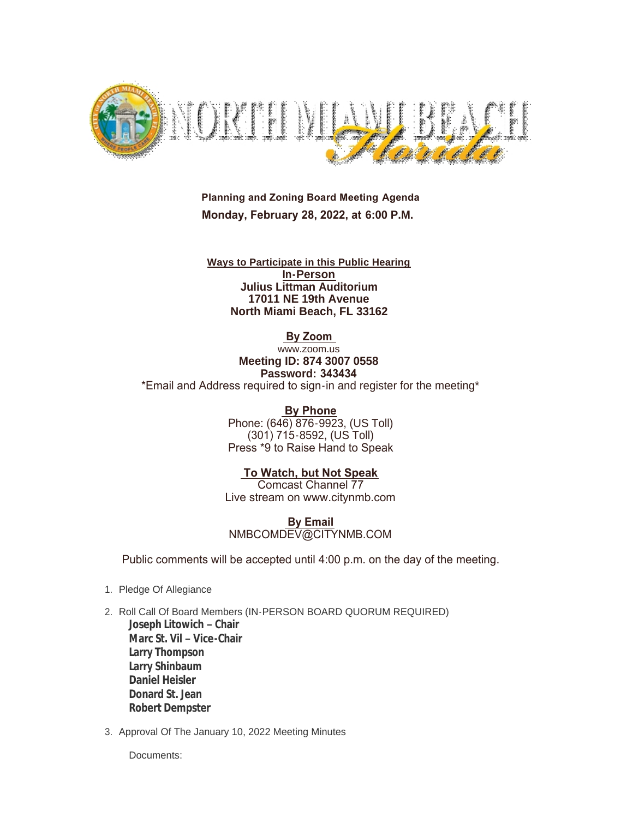

 **Planning and Zoning Board Meeting Agenda Monday, February 28, 2022, at 6:00 P.M.**

**Ways to Participate in this Public Hearing In-Person Julius Littman Auditorium 17011 NE 19th Avenue North Miami Beach, FL 33162**

 **By Zoom** 

www.zoom.us **Meeting ID: 874 3007 0558 Password: 343434** \*Email and Address required to sign-in and register for the meeting\*

> **By Phone** Phone: (646) 876-9923, (US Toll) (301) 715-8592, (US Toll) Press \*9 to Raise Hand to Speak

 **To Watch, but Not Speak** Comcast Channel 77 Live stream on www.citynmb.com

 **By Email** NMBCOMDEV@CITYNMB.COM

Public comments will be accepted until 4:00 p.m. on the day of the meeting.

- 1. Pledge Of Allegiance
- 2. Roll Call Of Board Members (IN-PERSON BOARD QUORUM REQUIRED) **Joseph Litowich – Chair Marc St. Vil – Vice-Chair Larry Thompson Larry Shinbaum Daniel Heisler Donard St. Jean Robert Dempster**
- 3. Approval Of The January 10, 2022 Meeting Minutes

Documents: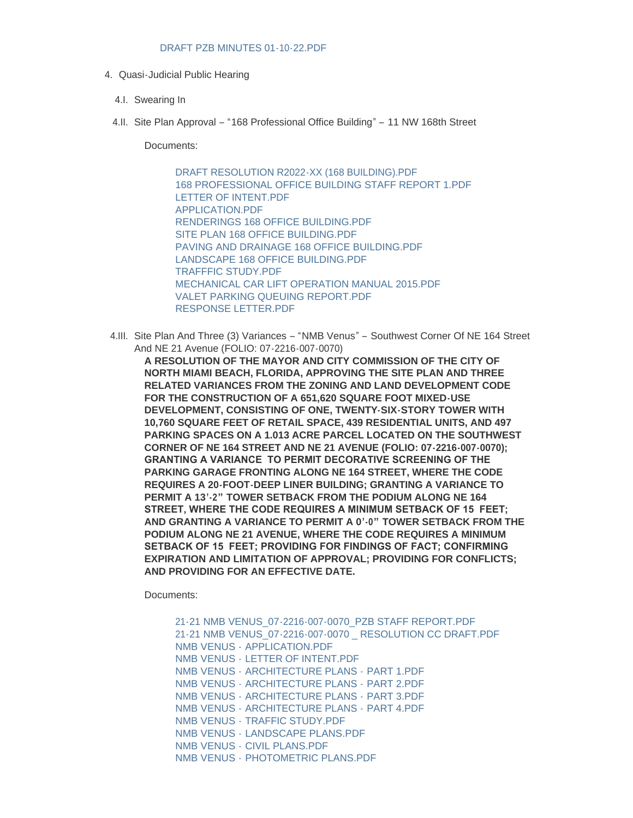## [DRAFT PZB MINUTES 01-10-22.PDF](https://www.citynmb.com/AgendaCenter/ViewFile/Item/598?fileID=24013)

- 4. Quasi-Judicial Public Hearing
	- 4.I. Swearing In
	- 4.II. Site Plan Approval "168 Professional Office Building" 11 NW 168th Street

Documents:

[DRAFT RESOLUTION R2022-XX \(168 BUILDING\).PDF](https://www.citynmb.com/AgendaCenter/ViewFile/Item/585?fileID=23970) [168 PROFESSIONAL OFFICE BUILDING STAFF REPORT 1.PDF](https://www.citynmb.com/AgendaCenter/ViewFile/Item/585?fileID=24012) [LETTER OF INTENT.PDF](https://www.citynmb.com/AgendaCenter/ViewFile/Item/585?fileID=23977) [APPLICATION.PDF](https://www.citynmb.com/AgendaCenter/ViewFile/Item/585?fileID=23976) [RENDERINGS 168 OFFICE BUILDING.PDF](https://www.citynmb.com/AgendaCenter/ViewFile/Item/585?fileID=23972) [SITE PLAN 168 OFFICE BUILDING.PDF](https://www.citynmb.com/AgendaCenter/ViewFile/Item/585?fileID=23973) [PAVING AND DRAINAGE 168 OFFICE BUILDING.PDF](https://www.citynmb.com/AgendaCenter/ViewFile/Item/585?fileID=23975) [LANDSCAPE 168 OFFICE BUILDING.PDF](https://www.citynmb.com/AgendaCenter/ViewFile/Item/585?fileID=23974) [TRAFFFIC STUDY.PDF](https://www.citynmb.com/AgendaCenter/ViewFile/Item/585?fileID=23980) [MECHANICAL CAR LIFT OPERATION MANUAL 2015.PDF](https://www.citynmb.com/AgendaCenter/ViewFile/Item/585?fileID=23978) [VALET PARKING QUEUING REPORT.PDF](https://www.citynmb.com/AgendaCenter/ViewFile/Item/585?fileID=23979) [RESPONSE LETTER.PDF](https://www.citynmb.com/AgendaCenter/ViewFile/Item/585?fileID=23981)

4.III. Site Plan And Three (3) Variances – "NMB Venus" – Southwest Corner Of NE 164 Street And NE 21 Avenue (FOLIO: 07-2216-007-0070)

**A RESOLUTION OF THE MAYOR AND CITY COMMISSION OF THE CITY OF NORTH MIAMI BEACH, FLORIDA, APPROVING THE SITE PLAN AND THREE RELATED VARIANCES FROM THE ZONING AND LAND DEVELOPMENT CODE FOR THE CONSTRUCTION OF A 651,620 SQUARE FOOT MIXED-USE DEVELOPMENT, CONSISTING OF ONE, TWENTY-SIX-STORY TOWER WITH 10,760 SQUARE FEET OF RETAIL SPACE, 439 RESIDENTIAL UNITS, AND 497 PARKING SPACES ON A 1.013 ACRE PARCEL LOCATED ON THE SOUTHWEST CORNER OF NE 164 STREET AND NE 21 AVENUE (FOLIO: 07-2216-007-0070); GRANTING A VARIANCE TO PERMIT DECORATIVE SCREENING OF THE PARKING GARAGE FRONTING ALONG NE 164 STREET, WHERE THE CODE REQUIRES A 20-FOOT-DEEP LINER BUILDING; GRANTING A VARIANCE TO PERMIT A 13'-2" TOWER SETBACK FROM THE PODIUM ALONG NE 164 STREET, WHERE THE CODE REQUIRES A MINIMUM SETBACK OF 15 FEET; AND GRANTING A VARIANCE TO PERMIT A 0'-0" TOWER SETBACK FROM THE PODIUM ALONG NE 21 AVENUE, WHERE THE CODE REQUIRES A MINIMUM SETBACK OF 15 FEET; PROVIDING FOR FINDINGS OF FACT; CONFIRMING EXPIRATION AND LIMITATION OF APPROVAL; PROVIDING FOR CONFLICTS; AND PROVIDING FOR AN EFFECTIVE DATE.**

Documents:

[21-21 NMB VENUS\\_07-2216-007-0070\\_PZB STAFF REPORT.PDF](https://www.citynmb.com/AgendaCenter/ViewFile/Item/584?fileID=24006) [21-21 NMB VENUS\\_07-2216-007-0070 \\_ RESOLUTION CC DRAFT.PDF](https://www.citynmb.com/AgendaCenter/ViewFile/Item/584?fileID=23983) NMB VENUS - [APPLICATION.PDF](https://www.citynmb.com/AgendaCenter/ViewFile/Item/584?fileID=23911) NMB VENUS - [LETTER OF INTENT.PDF](https://www.citynmb.com/AgendaCenter/ViewFile/Item/584?fileID=23918) NMB VENUS - [ARCHITECTURE PLANS -](https://www.citynmb.com/AgendaCenter/ViewFile/Item/584?fileID=23912) PART 1.PDF NMB VENUS - [ARCHITECTURE PLANS -](https://www.citynmb.com/AgendaCenter/ViewFile/Item/584?fileID=23913) PART 2.PDF NMB VENUS - [ARCHITECTURE PLANS -](https://www.citynmb.com/AgendaCenter/ViewFile/Item/584?fileID=23969) PART 3.PDF NMB VENUS - [ARCHITECTURE PLANS -](https://www.citynmb.com/AgendaCenter/ViewFile/Item/584?fileID=23915) PART 4.PDF NMB VENUS - [TRAFFIC STUDY.PDF](https://www.citynmb.com/AgendaCenter/ViewFile/Item/584?fileID=23920) NMB VENUS - [LANDSCAPE PLANS.PDF](https://www.citynmb.com/AgendaCenter/ViewFile/Item/584?fileID=23917) NMB VENUS - [CIVIL PLANS.PDF](https://www.citynmb.com/AgendaCenter/ViewFile/Item/584?fileID=23916) NMB VENUS - [PHOTOMETRIC PLANS.PDF](https://www.citynmb.com/AgendaCenter/ViewFile/Item/584?fileID=23919)